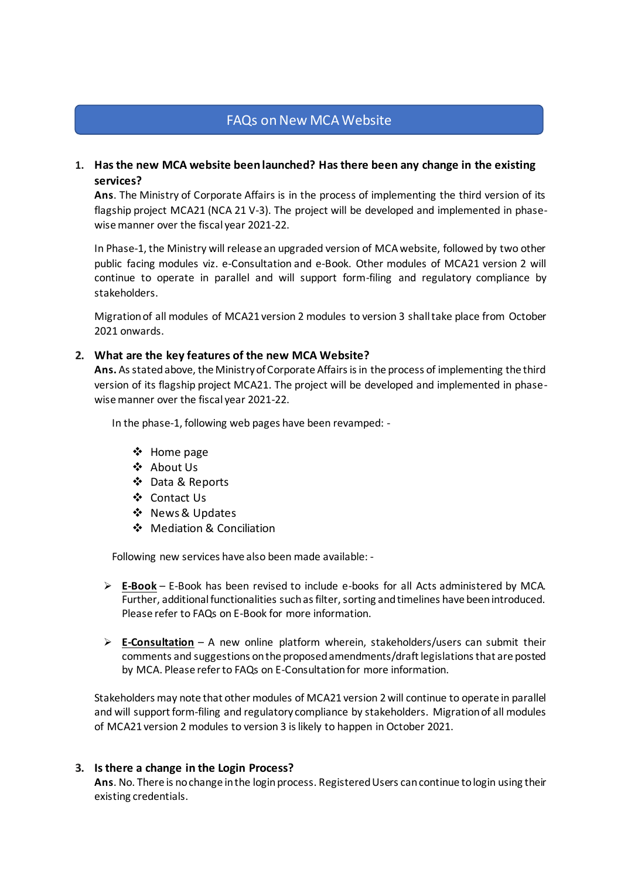# FAQs on New MCA Website

# **1. Has the new MCA website been launched? Has there been any change in the existing services?**

**Ans**. The Ministry of Corporate Affairs is in the process of implementing the third version of its flagship project MCA21 (NCA 21 V-3). The project will be developed and implemented in phasewise manner over the fiscal year 2021-22.

In Phase-1, the Ministry will release an upgraded version of MCA website, followed by two other public facing modules viz. e-Consultation and e-Book. Other modules of MCA21 version 2 will continue to operate in parallel and will support form-filing and regulatory compliance by stakeholders.

Migration of all modules of MCA21 version 2 modules to version 3 shall take place from October 2021 onwards.

#### **2. What are the key features of the new MCA Website?**

**Ans.** As stated above, the Ministry of Corporate Affairs is in the process of implementing the third version of its flagship project MCA21. The project will be developed and implemented in phasewise manner over the fiscal year 2021-22.

In the phase-1, following web pages have been revamped: -

- ❖ Home page
- ❖ About Us
- ❖ Data & Reports
- ❖ Contact Us
- ❖ News & Updates
- ❖ Mediation & Conciliation

Following new services have also been made available: -

- ➢ **E-Book** E-Book has been revised to include e-books for all Acts administered by MCA. Further, additional functionalities such as filter, sorting and timelines have been introduced. Please refer to FAQs on E-Book for more information.
- ➢ **E-Consultation** A new online platform wherein, stakeholders/users can submit their comments and suggestions on the proposed amendments/draft legislations that are posted by MCA. Please refer to FAQs on E-Consultation for more information.

Stakeholders may note that other modules of MCA21 version 2 will continue to operate in parallel and will support form-filing and regulatory compliance by stakeholders. Migration of all modules of MCA21 version 2 modules to version 3 is likely to happen in October 2021.

#### **3. Is there a change in the Login Process?**

**Ans**. No. There is no change in the login process. Registered Users can continue to login using their existing credentials.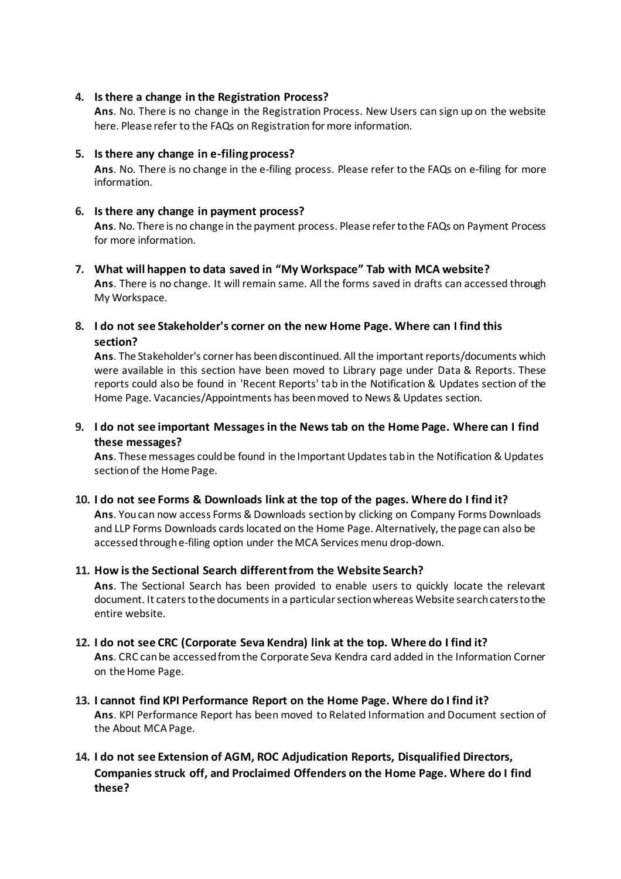## **4. Is there a change in the Registration Process?**

**Ans**. No. There is no change in the Registration Process. New Users can sign up on the website here. Please refer to the FAQs on Registration for more information.

### **5. Is there any change in e-filing process?**

**Ans**. No. There is no change in the e-filing process. Please refer to the FAQs on e-filing for more information.

### **6. Is there any change in payment process?**

**Ans**. No. There is no change in the payment process. Please refer to the FAQs on Payment Process for more information.

# **7. What will happen to data saved in "My Workspace" Tab with MCA website?**

**Ans**. There is no change. It will remain same. All the forms saved in drafts can accessed through My Workspace.

**8. I do not see Stakeholder's corner on the new Home Page. Where can I find this section?**

**Ans**. The Stakeholder's corner has been discontinued. All the important reports/documents which were available in this section have been moved to Library page under Data & Reports. These reports could also be found in 'Recent Reports' tab in the Notification & Updates section of the Home Page. Vacancies/Appointments has been moved to News & Updates section.

# **9. I do not see important Messages in the News tab on the Home Page. Where can I find these messages?**

**Ans**. These messages could be found in the Important Updates tab in the Notification & Updates section of the Home Page.

## **10. I do not see Forms & Downloads link at the top of the pages. Where do I find it?**

**Ans**. You can now access Forms & Downloads section by clicking on Company Forms Downloads and LLP Forms Downloads cards located on the Home Page. Alternatively, the page can also be accessed through e-filing option under the MCA Services menu drop-down.

## **11. How is the Sectional Search different from the Website Search?**

**Ans**. The Sectional Search has been provided to enable users to quickly locate the relevant document. It caters to the documents in a particular section whereas Website search caters to the entire website.

## **12. I do not see CRC (Corporate Seva Kendra) link at the top. Where do I find it?**

**Ans**. CRC can be accessed from the Corporate Seva Kendra card added in the Information Corner on the Home Page.

**13. I cannot find KPI Performance Report on the Home Page. Where do I find it? Ans**. KPI Performance Report has been moved to Related Information and Document section of the About MCA Page.

# **14. I do not see Extension of AGM, ROC Adjudication Reports, Disqualified Directors, Companies struck off, and Proclaimed Offenders on the Home Page. Where do I find these?**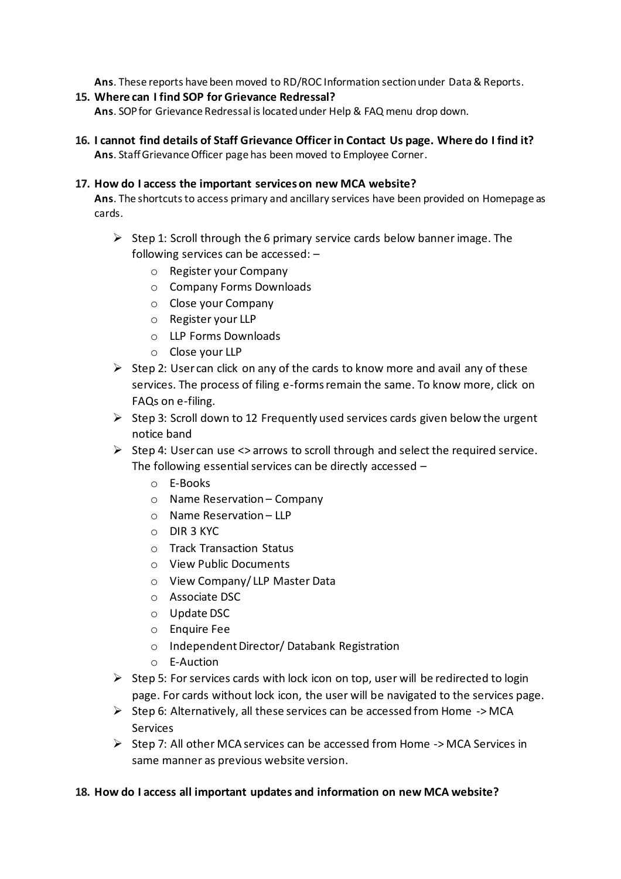**Ans**. These reports have been moved to RD/ROC Information section under Data & Reports.

**15. Where can I find SOP for Grievance Redressal?**

**Ans**. SOP for Grievance Redressal is located under Help & FAQ menu drop down.

**16. I cannot find details of Staff Grievance Officer in Contact Us page. Where do I find it? Ans**. Staff Grievance Officer page has been moved to Employee Corner.

### **17. How do I access the important services on new MCA website?**

**Ans**. The shortcuts to access primary and ancillary services have been provided on Homepage as cards.

- $\triangleright$  Step 1: Scroll through the 6 primary service cards below banner image. The following services can be accessed: –
	- o Register your Company
	- o Company Forms Downloads
	- o Close your Company
	- o Register your LLP
	- o LLP Forms Downloads
	- o Close your LLP
- $\triangleright$  Step 2: User can click on any of the cards to know more and avail any of these services. The process of filing e-forms remain the same. To know more, click on FAQs on e-filing.
- $\triangleright$  Step 3: Scroll down to 12 Frequently used services cards given below the urgent notice band
- $\triangleright$  Step 4: User can use  $\lt\gt$  arrows to scroll through and select the required service. The following essential services can be directly accessed –
	- o E-Books
	- o Name Reservation Company
	- o Name Reservation LLP
	- o DIR 3 KYC
	- o Track Transaction Status
	- o View Public Documents
	- o View Company/ LLP Master Data
	- o Associate DSC
	- o Update DSC
	- o Enquire Fee
	- o Independent Director/ Databank Registration
	- o E-Auction
- $\triangleright$  Step 5: For services cards with lock icon on top, user will be redirected to login page. For cards without lock icon, the user will be navigated to the services page.
- $\triangleright$  Step 6: Alternatively, all these services can be accessed from Home -> MCA Services
- ➢ Step 7: All other MCA services can be accessed from Home -> MCA Services in same manner as previous website version.

## **18. How do I access all important updates and information on new MCA website?**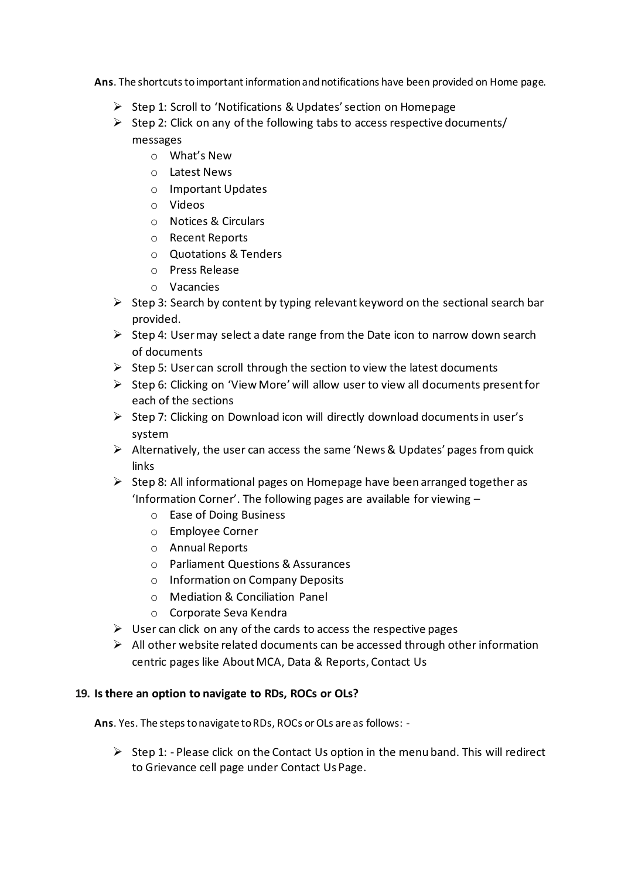**Ans**. The shortcuts to important information and notifications have been provided on Home page.

- ➢ Step 1: Scroll to 'Notifications & Updates' section on Homepage
- $\triangleright$  Step 2: Click on any of the following tabs to access respective documents/ messages
	- o What's New
	- o Latest News
	- o Important Updates
	- o Videos
	- o Notices & Circulars
	- o Recent Reports
	- o Quotations & Tenders
	- o Press Release
	- o Vacancies
- $\triangleright$  Step 3: Search by content by typing relevant keyword on the sectional search bar provided.
- $\triangleright$  Step 4: User may select a date range from the Date icon to narrow down search of documents
- $\triangleright$  Step 5: User can scroll through the section to view the latest documents
- ➢ Step 6: Clicking on 'View More' will allow user to view all documents present for each of the sections
- ➢ Step 7: Clicking on Download icon will directly download documents in user's system
- ➢ Alternatively, the user can access the same 'News & Updates' pages from quick links
- $\triangleright$  Step 8: All informational pages on Homepage have been arranged together as 'Information Corner'. The following pages are available for viewing –
	- o Ease of Doing Business
	- o Employee Corner
	- o Annual Reports
	- o Parliament Questions & Assurances
	- o Information on Company Deposits
	- o Mediation & Conciliation Panel
	- o Corporate Seva Kendra
- $\triangleright$  User can click on any of the cards to access the respective pages
- $\triangleright$  All other website related documents can be accessed through other information centric pages like About MCA, Data & Reports, Contact Us

# **19. Is there an option to navigate to RDs, ROCs or OLs?**

**Ans**. Yes. The steps to navigate to RDs, ROCs or OLs are as follows: -

 $\triangleright$  Step 1: - Please click on the Contact Us option in the menu band. This will redirect to Grievance cell page under Contact Us Page.